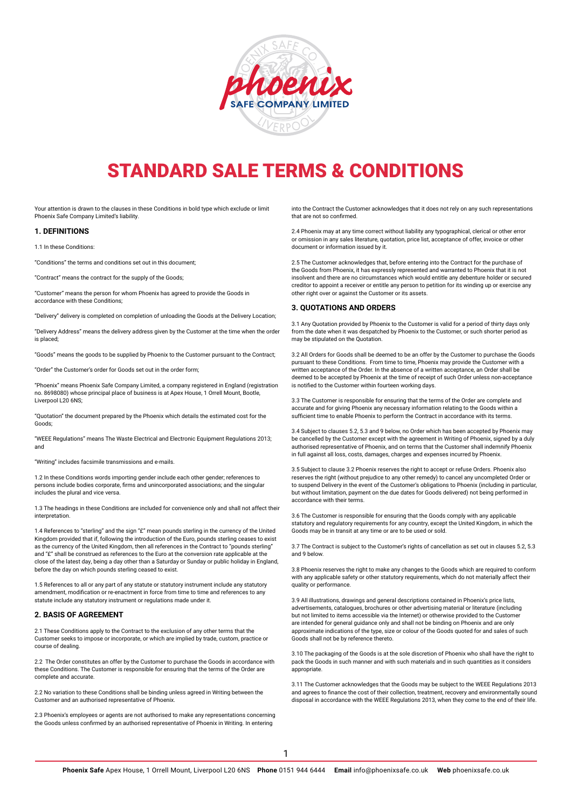

# STANDARD SALE TERMS & CONDITIONS

Your attention is drawn to the clauses in these Conditions in bold type which exclude or limit Phoenix Safe Company Limited's liability.

#### **1. DEFINITIONS**

1.1 In these Conditions:

"Conditions" the terms and conditions set out in this document;

"Contract" means the contract for the supply of the Goods;

"Customer" means the person for whom Phoenix has agreed to provide the Goods in accordance with these Conditions;

"Delivery" delivery is completed on completion of unloading the Goods at the Delivery Location;

"Delivery Address" means the delivery address given by the Customer at the time when the order is placed;

"Goods" means the goods to be supplied by Phoenix to the Customer pursuant to the Contract;

"Order" the Customer's order for Goods set out in the order form;

"Phoenix" means Phoenix Safe Company Limited, a company registered in England (registration no. 8698080) whose principal place of business is at Apex House, 1 Orrell Mount, Bootle, Liverpool L20 6NS;

"Quotation" the document prepared by the Phoenix which details the estimated cost for the Goods;

"WEEE Regulations" means The Waste Electrical and Electronic Equipment Regulations 2013; and

"Writing" includes facsimile transmissions and e-mails.

1.2 In these Conditions words importing gender include each other gender; references to persons include bodies corporate, firms and unincorporated associations; and the singular includes the plural and vice versa.

1.3 The headings in these Conditions are included for convenience only and shall not affect their interpretation.

1.4 References to "sterling" and the sign "£" mean pounds sterling in the currency of the United Kingdom provided that if, following the introduction of the Euro, pounds sterling ceases to exist as the currency of the United Kingdom, then all references in the Contract to "pounds sterling" and "£" shall be construed as references to the Euro at the conversion rate applicable at the close of the latest day, being a day other than a Saturday or Sunday or public holiday in England, before the day on which pounds sterling ceased to exist.

1.5 References to all or any part of any statute or statutory instrument include any statutory amendment, modification or re-enactment in force from time to time and references to any statute include any statutory instrument or regulations made under it.

## **2. BASIS OF AGREEMENT**

2.1 These Conditions apply to the Contract to the exclusion of any other terms that the Customer seeks to impose or incorporate, or which are implied by trade, custom, practice or course of dealing.

2.2 The Order constitutes an offer by the Customer to purchase the Goods in accordance with these Conditions. The Customer is responsible for ensuring that the terms of the Order are complete and accurate.

2.2 No variation to these Conditions shall be binding unless agreed in Writing between the Customer and an authorised representative of Phoenix.

2.3 Phoenix's employees or agents are not authorised to make any representations concerning the Goods unless confirmed by an authorised representative of Phoenix in Writing. In entering

into the Contract the Customer acknowledges that it does not rely on any such representations that are not so confirmed.

2.4 Phoenix may at any time correct without liability any typographical, clerical or other error or omission in any sales literature, quotation, price list, acceptance of offer, invoice or other document or information issued by it.

2.5 The Customer acknowledges that, before entering into the Contract for the purchase of the Goods from Phoenix, it has expressly represented and warranted to Phoenix that it is not insolvent and there are no circumstances which would entitle any debenture holder or secured creditor to appoint a receiver or entitle any person to petition for its winding up or exercise any other right over or against the Customer or its assets.

## **3. QUOTATIONS AND ORDERS**

3.1 Any Quotation provided by Phoenix to the Customer is valid for a period of thirty days only from the date when it was despatched by Phoenix to the Customer, or such shorter period as may be stipulated on the Quotation.

3.2 All Orders for Goods shall be deemed to be an offer by the Customer to purchase the Goods pursuant to these Conditions. From time to time, Phoenix may provide the Customer with a written acceptance of the Order. In the absence of a written acceptance, an Order shall be deemed to be accepted by Phoenix at the time of receipt of such Order unless non-acceptance is notified to the Customer within fourteen working days.

3.3 The Customer is responsible for ensuring that the terms of the Order are complete and accurate and for giving Phoenix any necessary information relating to the Goods within a sufficient time to enable Phoenix to perform the Contract in accordance with its terms.

3.4 Subject to clauses 5.2, 5.3 and 9 below, no Order which has been accepted by Phoenix may be cancelled by the Customer except with the agreement in Writing of Phoenix, signed by a duly authorised representative of Phoenix, and on terms that the Customer shall indemnify Phoenix in full against all loss, costs, damages, charges and expenses incurred by Phoenix.

3.5 Subject to clause 3.2 Phoenix reserves the right to accept or refuse Orders. Phoenix also reserves the right (without prejudice to any other remedy) to cancel any uncompleted Order or to suspend Delivery in the event of the Customer's obligations to Phoenix (including in particular, but without limitation, payment on the due dates for Goods delivered) not being performed in accordance with their terms.

3.6 The Customer is responsible for ensuring that the Goods comply with any applicable statutory and regulatory requirements for any country, except the United Kingdom, in which the Goods may be in transit at any time or are to be used or sold.

3.7 The Contract is subject to the Customer's rights of cancellation as set out in clauses 5.2, 5.3 and 9 below.

3.8 Phoenix reserves the right to make any changes to the Goods which are required to conform with any applicable safety or other statutory requirements, which do not materially affect their quality or performance.

3.9 All illustrations, drawings and general descriptions contained in Phoenix's price lists, advertisements, catalogues, brochures or other advertising material or literature (including but not limited to items accessible via the Internet) or otherwise provided to the Customer are intended for general guidance only and shall not be binding on Phoenix and are only approximate indications of the type, size or colour of the Goods quoted for and sales of such Goods shall not be by reference thereto.

3.10 The packaging of the Goods is at the sole discretion of Phoenix who shall have the right to pack the Goods in such manner and with such materials and in such quantities as it considers appropriate.

3.11 The Customer acknowledges that the Goods may be subject to the WEEE Regulations 2013 and agrees to finance the cost of their collection, treatment, recovery and environmentally sound disposal in accordance with the WEEE Regulations 2013, when they come to the end of their life.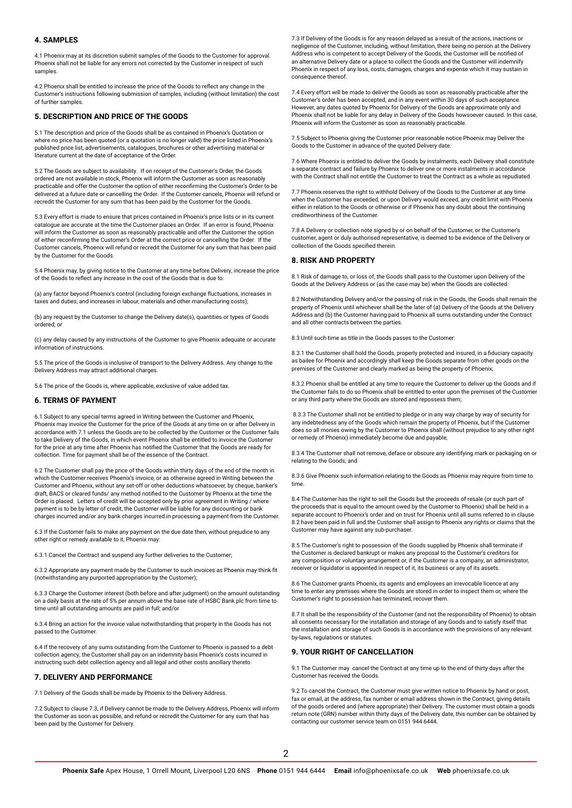# **4. SAMPLES**

4.1 Phoenix may at its discretion submit samples of the Goods to the Customer for approval. Phoenix shall not be liable for any errors not corrected by the Customer in respect of such samples.

4.2 Phoenix shall be entitled to increase the price of the Goods to reflect any change in the Customer's instructions following submission of samples, including (without limitation) the cost of further samples.

## **5. DESCRIPTION AND PRICE OF THE GOODS**

5.1 The description and price of the Goods shall be as contained in Phoenix's Quotation or where no price has been quoted (or a quotation is no longer valid) the price listed in Phoenix's published price list, advertisements, catalogues, brochures or other advertising material or literature current at the date of acceptance of the Order.

5.2 The Goods are subject to availability. If on receipt of the Customer's Order, the Goods ordered are not available in stock, Phoenix will inform the Customer as soon as reasonably practicable and offer the Customer the option of either reconfirming the Customer's Order to be delivered at a future date or cancelling the Order. If the Customer cancels, Phoenix will refund or recredit the Customer for any sum that has been paid by the Customer for the Goods.

5.3 Every effort is made to ensure that prices contained in Phoenix's price lists or in its current catalogue are accurate at the time the Customer places an Order. If an error is found, Phoenix will inform the Customer as soon as reasonably practicable and offer the Customer the option of either reconfirming the Customer's Order at the correct price or cancelling the Order. If the Customer cancels, Phoenix will refund or recredit the Customer for any sum that has been paid by the Customer for the Goods.

5.4 Phoenix may, by giving notice to the Customer at any time before Delivery, increase the price of the Goods to reflect any increase in the cost of the Goods that is due to:

(a) any factor beyond Phoenix's control (including foreign exchange fluctuations, increases in taxes and duties, and increases in labour, materials and other manufacturing costs);

(b) any request by the Customer to change the Delivery date(s), quantities or types of Goods ordered; or

(c) any delay caused by any instructions of the Customer to give Phoenix adequate or accurate information of instructions.

5.5 The price of the Goods is inclusive of transport to the Delivery Address. Any change to the Delivery Address may attract additional charges.

5.6 The price of the Goods is, where applicable, exclusive of value added tax.

#### **6. TERMS OF PAYMENT**

6.1 Subject to any special terms agreed in Writing between the Customer and Phoenix, Phoenix may invoice the Customer for the price of the Goods at any time on or after Delivery in accordance with 7.1 unless the Goods are to be collected by the Customer or the Customer fails to take Delivery of the Goods, in which event Phoenix shall be entitled to invoice the Customer for the price at any time after Phoenix has notified the Customer that the Goods are ready for collection. Time for payment shall be of the essence of the Contract.

6.2 The Customer shall pay the price of the Goods within thirty days of the end of the month in which the Customer receives Phoenix's invoice, or as otherwise agreed in Writing between the Customer and Phoenix, without any set-off or other deductions whatsoever, by cheque, banker's draft, BACS or cleared funds/ any method notified to the Customer by Phoenix at the time the Order is placed. Letters of credit will be accepted only by prior agreement in Writing / where payment is to be by letter of credit, the Customer will be liable for any discounting or bank charges incurred and/or any bank charges incurred in processing a payment from the Customer.

6.3 If the Customer fails to make any payment on the due date then, without prejudice to any other right or remedy available to it, Phoenix may:

6.3.1 Cancel the Contract and suspend any further deliveries to the Customer;

6.3.2 Appropriate any payment made by the Customer to such invoices as Phoenix may think fit (notwithstanding any purported appropriation by the Customer);

6.3.3 Charge the Customer interest (both before and after judgment) on the amount outstanding on a daily basis at the rate of 5% per annum above the base rate of HSBC Bank plc from time to time until all outstanding amounts are paid in full; and/or

6.3.4 Bring an action for the invoice value notwithstanding that property in the Goods has not passed to the Customer.

6.4 If the recovery of any sums outstanding from the Customer to Phoenix is passed to a debt collection agency, the Customer shall pay on an indemnity basis Phoenix's costs incurred in instructing such debt collection agency and all legal and other costs ancillary thereto.

## **7. DELIVERY AND PERFORMANCE**

7.1 Delivery of the Goods shall be made by Phoenix to the Delivery Address.

7.2 Subject to clause 7.3, if Delivery cannot be made to the Delivery Address, Phoenix will inform the Customer as soon as possible, and refund or recredit the Customer for any sum that has been paid by the Customer for Delivery.

7.3 If Delivery of the Goods is for any reason delayed as a result of the actions, inactions or negligence of the Customer, including, without limitation, there being no person at the Delivery Address who is competent to accept Delivery of the Goods, the Customer will be notified of an alternative Delivery date or a place to collect the Goods and the Customer will indemnify Phoenix in respect of any loss, costs, damages, charges and expense which it may sustain in consequence thereof.

7.4 Every effort will be made to deliver the Goods as soon as reasonably practicable after the Customer's order has been accepted, and in any event within 30 days of such acceptance. However, any dates quoted by Phoenix for Delivery of the Goods are approximate only and Phoenix shall not be liable for any delay in Delivery of the Goods howsoever caused. In this case, Phoenix will inform the Customer as soon as reasonably practicable.

7.5 Subject to Phoenix giving the Customer prior reasonable notice Phoenix may Deliver the Goods to the Customer in advance of the quoted Delivery date.

7.6 Where Phoenix is entitled to deliver the Goods by instalments, each Delivery shall constitute a separate contract and failure by Phoenix to deliver one or more instalments in accordance with the Contract shall not entitle the Customer to treat the Contract as a whole as repudiated.

7.7 Phoenix reserves the right to withhold Delivery of the Goods to the Customer at any time when the Customer has exceeded, or upon Delivery would exceed, any credit limit with Phoenix either in relation to the Goods or otherwise or if Phoenix has any doubt about the continuing creditworthiness of the Customer.

7.8 A Delivery or collection note signed by or on behalf of the Customer, or the Customer's customer, agent or duly authorised representative, is deemed to be evidence of the Delivery or collection of the Goods specified therein.

#### **8. RISK AND PROPERTY**

8.1 Risk of damage to, or loss of, the Goods shall pass to the Customer upon Delivery of the Goods at the Delivery Address or (as the case may be) when the Goods are collected.

8.2 Notwithstanding Delivery and/or the passing of risk in the Goods, the Goods shall remain the property of Phoenix until whichever shall be the later of (a) Delivery of the Goods at the Delivery Address and (b) the Customer having paid to Phoenix all sums outstanding under the Contract and all other contracts between the parties.

8.3 Until such time as title in the Goods passes to the Customer:

8.3.1 the Customer shall hold the Goods, properly protected and insured, in a fiduciary capacity as bailee for Phoenix and accordingly shall keep the Goods separate from other goods on the premises of the Customer and clearly marked as being the property of Phoenix;

8.3.2 Phoenix shall be entitled at any time to require the Customer to deliver up the Goods and if the Customer fails to do so Phoenix shall be entitled to enter upon the premises of the Customer or any third party where the Goods are stored and repossess them;

 8.3.3 The Customer shall not be entitled to pledge or in any way charge by way of security for any indebtedness any of the Goods which remain the property of Phoenix, but if the Customer does so all monies owing by the Customer to Phoenix shall (without prejudice to any other right or remedy of Phoenix) immediately become due and payable;

8.3.4 The Customer shall not remove, deface or obscure any identifying mark or packaging on or relating to the Goods; and

8.3.6 Give Phoenix such information relating to the Goods as Phoenix may require from time to time.

8.4 The Customer has the right to sell the Goods but the proceeds of resale (or such part of the proceeds that is equal to the amount owed by the Customer to Phoenix) shall be held in a separate account to Phoenix's order and on trust for Phoenix until all sums referred to in clause 8.2 have been paid in full and the Customer shall assign to Phoenix any rights or claims that the Customer may have against any sub-purchaser.

8.5 The Customer's right to possession of the Goods supplied by Phoenix shall terminate if the Customer is declared bankrupt or makes any proposal to the Customer's creditors for any composition or voluntary arrangement or, if the Customer is a company, an administrator, receiver or liquidator is appointed in respect of it, its business or any of its assets.

8.6 The Customer grants Phoenix, its agents and employees an irrevocable licence at any time to enter any premises where the Goods are stored in order to inspect them or, where the Customer's right to possession has terminated, recover them.

8.7 It shall be the responsibility of the Customer (and not the responsibility of Phoenix) to obtain all consents necessary for the installation and storage of any Goods and to satisfy itself that the installation and storage of such Goods is in accordance with the provisions of any relevant by-laws, regulations or statutes.

### **9. YOUR RIGHT OF CANCELLATION**

9.1 The Customer may cancel the Contract at any time up to the end of thirty days after the Customer has received the Goods.

9.2 To cancel the Contract, the Customer must give written notice to Phoenix by hand or post fax or email, at the address, fax number or email address shown in the Contract, giving details of the goods ordered and (where appropriate) their Delivery. The customer must obtain a goods return note (GRN) number within thirty days of the Delivery date, this number can be obtained by contacting our customer service team on 0151 944 6444.